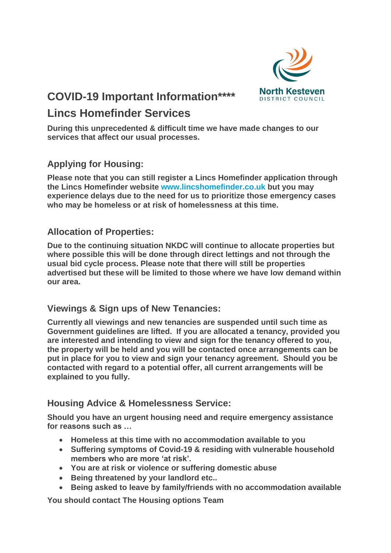

# **COVID-19 Important Information\*\*\*\***

# **Lincs Homefinder Services**

**During this unprecedented & difficult time we have made changes to our services that affect our usual processes.**

# **Applying for Housing:**

**Please note that you can still register a Lincs Homefinder application through the Lincs Homefinder website [www.lincshomefinder.co.uk](http://www.lincshomefinder.co.uk/) but you may experience delays due to the need for us to prioritize those emergency cases who may be homeless or at risk of homelessness at this time.**

### **Allocation of Properties:**

**Due to the continuing situation NKDC will continue to allocate properties but where possible this will be done through direct lettings and not through the usual bid cycle process. Please note that there will still be properties advertised but these will be limited to those where we have low demand within our area.**

## **Viewings & Sign ups of New Tenancies:**

**Currently all viewings and new tenancies are suspended until such time as Government guidelines are lifted. If you are allocated a tenancy, provided you are interested and intending to view and sign for the tenancy offered to you, the property will be held and you will be contacted once arrangements can be put in place for you to view and sign your tenancy agreement. Should you be contacted with regard to a potential offer, all current arrangements will be explained to you fully.**

## **Housing Advice & Homelessness Service:**

**Should you have an urgent housing need and require emergency assistance for reasons such as …**

- **Homeless at this time with no accommodation available to you**
- **Suffering symptoms of Covid-19 & residing with vulnerable household members who are more 'at risk'.**
- **You are at risk or violence or suffering domestic abuse**
- **Being threatened by your landlord etc..**
- **Being asked to leave by family/friends with no accommodation available**

**You should contact The Housing options Team**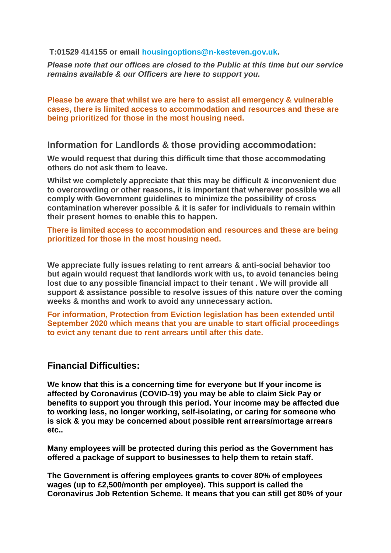**T:01529 414155 or email [housingoptions@n-kesteven.gov.uk.](mailto:housingoptions@n-kesteven.gov.uk)**

*Please note that our offices are closed to the Public at this time but our service remains available & our Officers are here to support you.*

**Please be aware that whilst we are here to assist all emergency & vulnerable cases, there is limited access to accommodation and resources and these are being prioritized for those in the most housing need.**

#### **Information for Landlords & those providing accommodation:**

**We would request that during this difficult time that those accommodating others do not ask them to leave.** 

**Whilst we completely appreciate that this may be difficult & inconvenient due to overcrowding or other reasons, it is important that wherever possible we all comply with Government guidelines to minimize the possibility of cross contamination wherever possible & it is safer for individuals to remain within their present homes to enable this to happen.**

**There is limited access to accommodation and resources and these are being prioritized for those in the most housing need.**

**We appreciate fully issues relating to rent arrears & anti-social behavior too but again would request that landlords work with us, to avoid tenancies being lost due to any possible financial impact to their tenant . We will provide all support & assistance possible to resolve issues of this nature over the coming weeks & months and work to avoid any unnecessary action.**

**For information, Protection from Eviction legislation has been extended until September 2020 which means that you are unable to start official proceedings to evict any tenant due to rent arrears until after this date.**

#### **Financial Difficulties:**

**We know that this is a concerning time for everyone but If your income is affected by Coronavirus (COVID-19) you may be able to claim Sick Pay or benefits to support you through this period. Your income may be affected due to working less, no longer working, self-isolating, or caring for someone who is sick & you may be concerned about possible rent arrears/mortage arrears etc..**

**Many employees will be protected during this period as the Government has offered a package of support to businesses to help them to retain staff.**

**The Government is offering employees grants to cover 80% of employees wages (up to £2,500/month per employee). This support is called the Coronavirus Job Retention Scheme. It means that you can still get 80% of your**